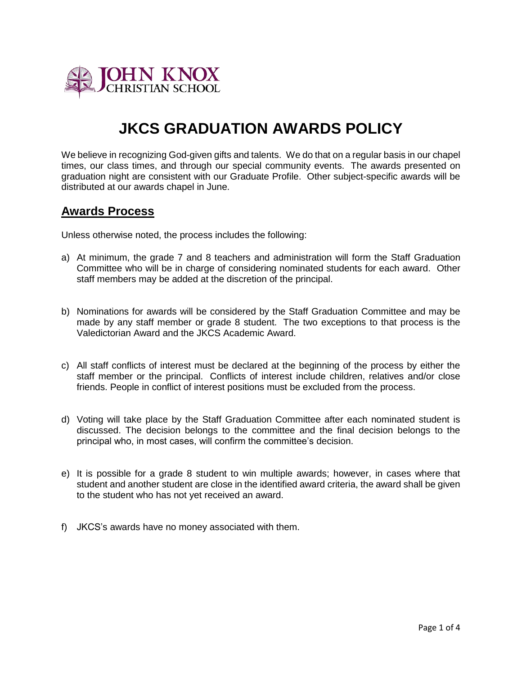

# **JKCS GRADUATION AWARDS POLICY**

We believe in recognizing God-given gifts and talents. We do that on a regular basis in our chapel times, our class times, and through our special community events. The awards presented on graduation night are consistent with our Graduate Profile. Other subject-specific awards will be distributed at our awards chapel in June.

### **Awards Process**

Unless otherwise noted, the process includes the following:

- a) At minimum, the grade 7 and 8 teachers and administration will form the Staff Graduation Committee who will be in charge of considering nominated students for each award. Other staff members may be added at the discretion of the principal.
- b) Nominations for awards will be considered by the Staff Graduation Committee and may be made by any staff member or grade 8 student. The two exceptions to that process is the Valedictorian Award and the JKCS Academic Award.
- c) All staff conflicts of interest must be declared at the beginning of the process by either the staff member or the principal. Conflicts of interest include children, relatives and/or close friends. People in conflict of interest positions must be excluded from the process.
- d) Voting will take place by the Staff Graduation Committee after each nominated student is discussed. The decision belongs to the committee and the final decision belongs to the principal who, in most cases, will confirm the committee's decision.
- e) It is possible for a grade 8 student to win multiple awards; however, in cases where that student and another student are close in the identified award criteria, the award shall be given to the student who has not yet received an award.
- f) JKCS's awards have no money associated with them.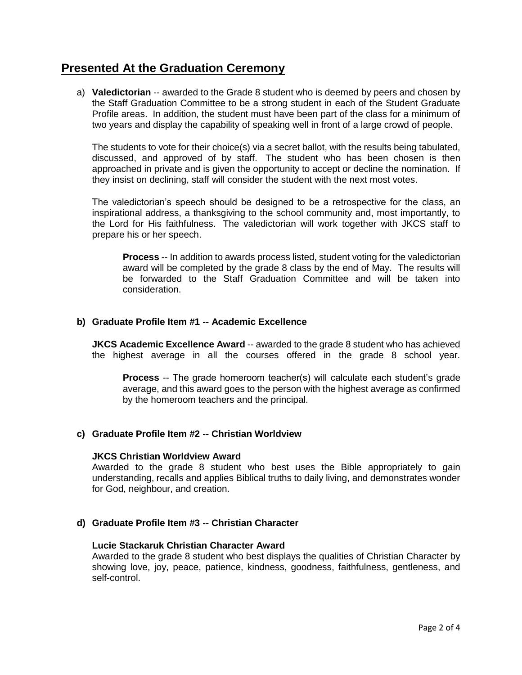## **Presented At the Graduation Ceremony**

a) **Valedictorian** -- awarded to the Grade 8 student who is deemed by peers and chosen by the Staff Graduation Committee to be a strong student in each of the Student Graduate Profile areas. In addition, the student must have been part of the class for a minimum of two years and display the capability of speaking well in front of a large crowd of people.

The students to vote for their choice(s) via a secret ballot, with the results being tabulated, discussed, and approved of by staff. The student who has been chosen is then approached in private and is given the opportunity to accept or decline the nomination. If they insist on declining, staff will consider the student with the next most votes.

The valedictorian's speech should be designed to be a retrospective for the class, an inspirational address, a thanksgiving to the school community and, most importantly, to the Lord for His faithfulness. The valedictorian will work together with JKCS staff to prepare his or her speech.

**Process** -- In addition to awards process listed, student voting for the valedictorian award will be completed by the grade 8 class by the end of May. The results will be forwarded to the Staff Graduation Committee and will be taken into consideration.

### **b) Graduate Profile Item #1 -- Academic Excellence**

**JKCS Academic Excellence Award** -- awarded to the grade 8 student who has achieved the highest average in all the courses offered in the grade 8 school year.

**Process** -- The grade homeroom teacher(s) will calculate each student's grade average, and this award goes to the person with the highest average as confirmed by the homeroom teachers and the principal.

### **c) Graduate Profile Item #2 -- Christian Worldview**

### **JKCS Christian Worldview Award**

Awarded to the grade 8 student who best uses the Bible appropriately to gain understanding, recalls and applies Biblical truths to daily living, and demonstrates wonder for God, neighbour, and creation.

### **d) Graduate Profile Item #3 -- Christian Character**

### **Lucie Stackaruk Christian Character Award**

Awarded to the grade 8 student who best displays the qualities of Christian Character by showing love, joy, peace, patience, kindness, goodness, faithfulness, gentleness, and self-control.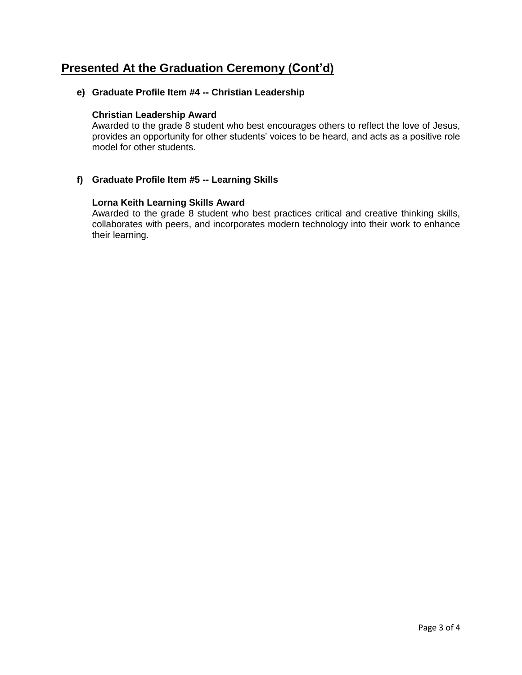# **Presented At the Graduation Ceremony (Cont'd)**

### **e) Graduate Profile Item #4 -- Christian Leadership**

### **Christian Leadership Award**

Awarded to the grade 8 student who best encourages others to reflect the love of Jesus, provides an opportunity for other students' voices to be heard, and acts as a positive role model for other students.

### **f) Graduate Profile Item #5 -- Learning Skills**

### **Lorna Keith Learning Skills Award**

Awarded to the grade 8 student who best practices critical and creative thinking skills, collaborates with peers, and incorporates modern technology into their work to enhance their learning.